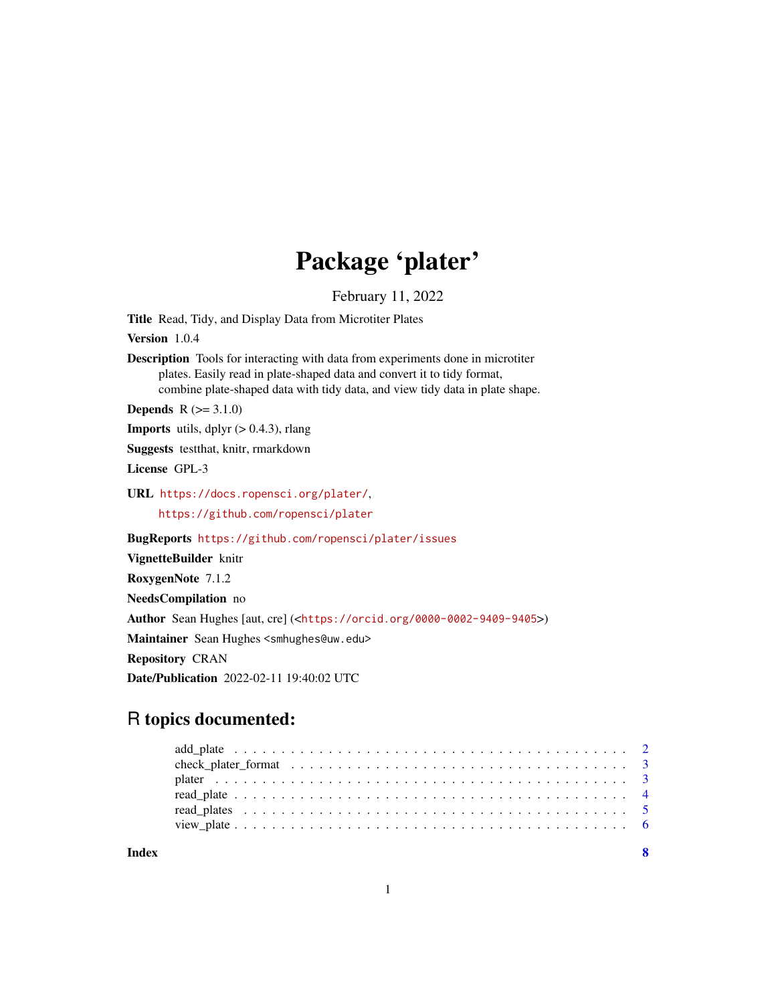## Package 'plater'

February 11, 2022

Title Read, Tidy, and Display Data from Microtiter Plates

Version 1.0.4

Description Tools for interacting with data from experiments done in microtiter plates. Easily read in plate-shaped data and convert it to tidy format, combine plate-shaped data with tidy data, and view tidy data in plate shape.

**Depends**  $R (= 3.1.0)$ 

**Imports** utils, dplyr  $(> 0.4.3)$ , rlang

Suggests testthat, knitr, rmarkdown

License GPL-3

URL <https://docs.ropensci.org/plater/>, <https://github.com/ropensci/plater>

BugReports <https://github.com/ropensci/plater/issues>

VignetteBuilder knitr

RoxygenNote 7.1.2

NeedsCompilation no

Author Sean Hughes [aut, cre] (<<https://orcid.org/0000-0002-9409-9405>>)

Maintainer Sean Hughes <smhughes@uw.edu>

Repository CRAN

Date/Publication 2022-02-11 19:40:02 UTC

## R topics documented: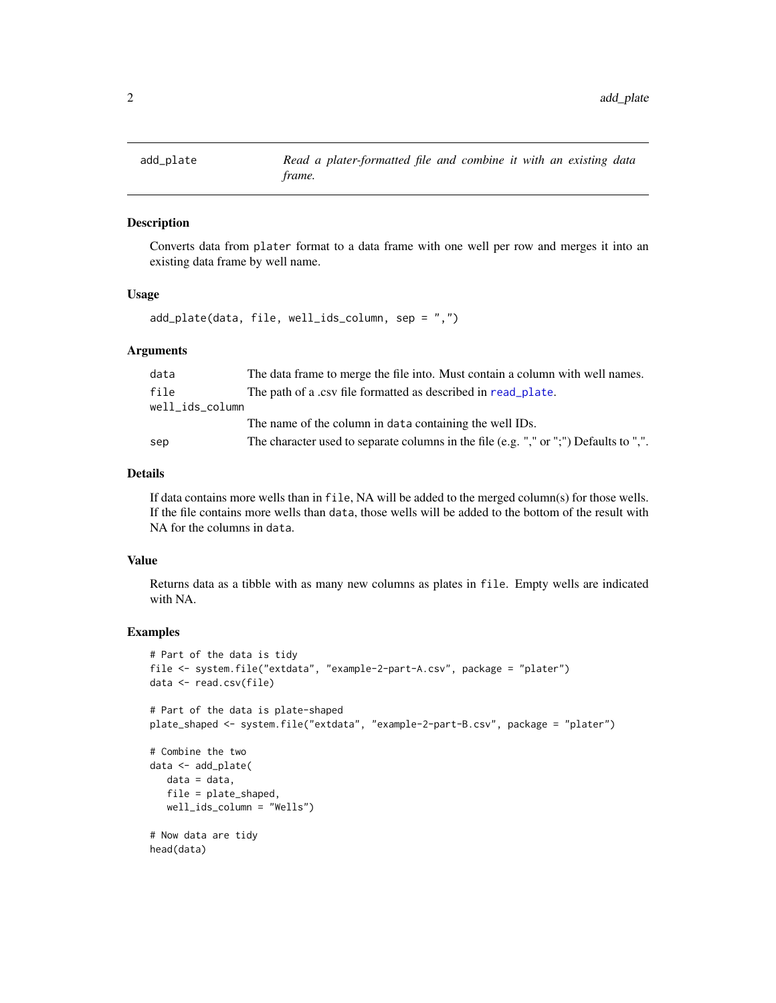<span id="page-1-1"></span><span id="page-1-0"></span>

## Description

Converts data from plater format to a data frame with one well per row and merges it into an existing data frame by well name.

#### Usage

add\_plate(data, file, well\_ids\_column, sep = ",")

#### **Arguments**

| data            | The data frame to merge the file into. Must contain a column with well names.         |
|-----------------|---------------------------------------------------------------------------------------|
| file            | The path of a .csv file formatted as described in read_plate.                         |
| well ids column |                                                                                       |
|                 | The name of the column in data containing the well IDs.                               |
| sep             | The character used to separate columns in the file (e.g. "," or ";") Defaults to ",". |

#### Details

If data contains more wells than in file, NA will be added to the merged column(s) for those wells. If the file contains more wells than data, those wells will be added to the bottom of the result with NA for the columns in data.

#### Value

Returns data as a tibble with as many new columns as plates in file. Empty wells are indicated with NA.

#### Examples

```
# Part of the data is tidy
file <- system.file("extdata", "example-2-part-A.csv", package = "plater")
data <- read.csv(file)
# Part of the data is plate-shaped
plate_shaped <- system.file("extdata", "example-2-part-B.csv", package = "plater")
# Combine the two
data <- add_plate(
  data = data,
  file = plate_shaped,
  well_ids_column = "Wells")
# Now data are tidy
head(data)
```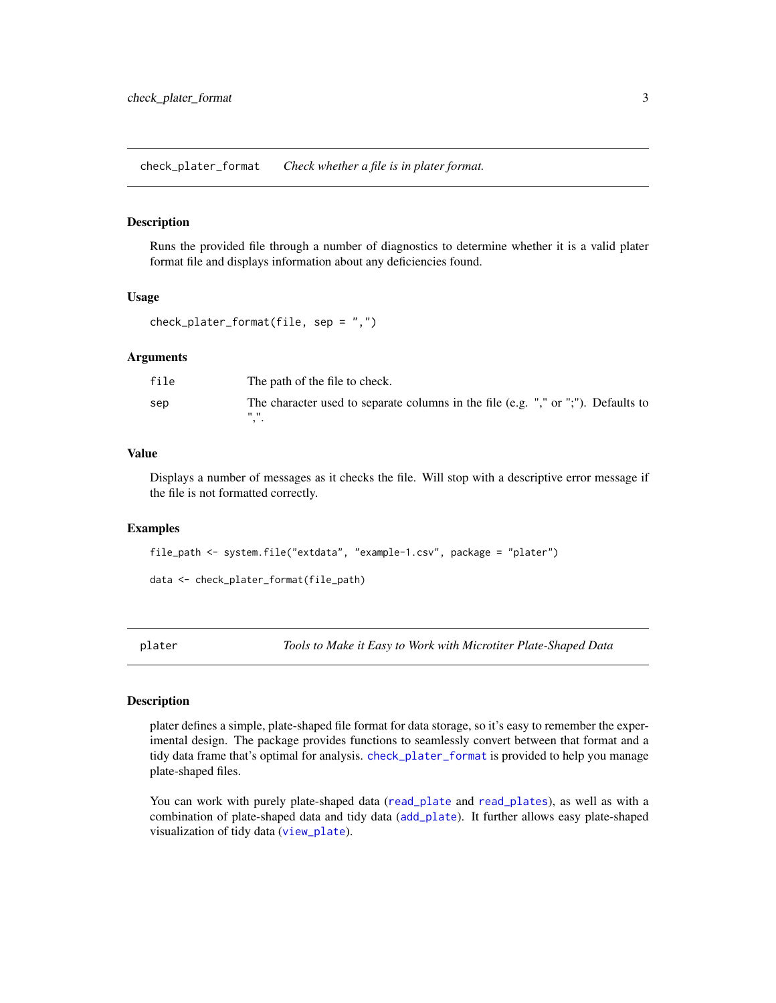<span id="page-2-1"></span><span id="page-2-0"></span>check\_plater\_format *Check whether a file is in plater format.*

#### **Description**

Runs the provided file through a number of diagnostics to determine whether it is a valid plater format file and displays information about any deficiencies found.

#### Usage

```
check_plater_format(file, sep = ",")
```
#### Arguments

| file | The path of the file to check.                                                    |
|------|-----------------------------------------------------------------------------------|
| sep  | The character used to separate columns in the file (e.g. "," or ";"). Defaults to |
|      | ""                                                                                |
|      |                                                                                   |

#### Value

Displays a number of messages as it checks the file. Will stop with a descriptive error message if the file is not formatted correctly.

#### Examples

```
file_path <- system.file("extdata", "example-1.csv", package = "plater")
```

```
data <- check_plater_format(file_path)
```
plater *Tools to Make it Easy to Work with Microtiter Plate-Shaped Data*

#### Description

plater defines a simple, plate-shaped file format for data storage, so it's easy to remember the experimental design. The package provides functions to seamlessly convert between that format and a tidy data frame that's optimal for analysis. [check\\_plater\\_format](#page-2-1) is provided to help you manage plate-shaped files.

You can work with purely plate-shaped data ([read\\_plate](#page-3-1) and [read\\_plates](#page-4-1)), as well as with a combination of plate-shaped data and tidy data ([add\\_plate](#page-1-1)). It further allows easy plate-shaped visualization of tidy data ([view\\_plate](#page-5-1)).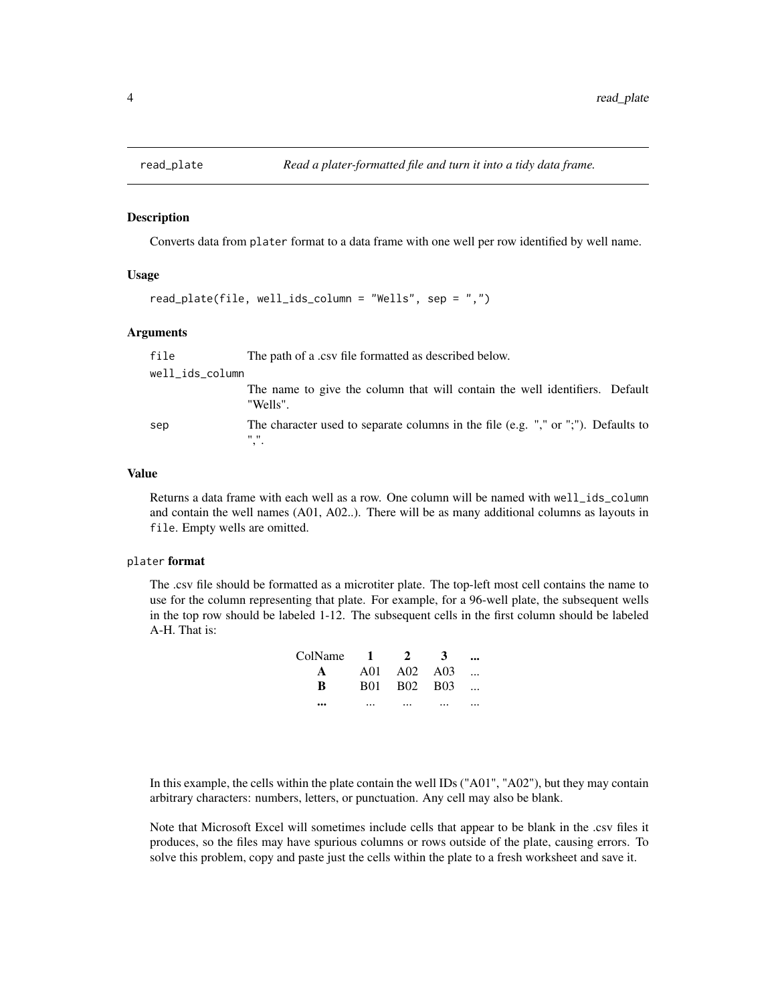<span id="page-3-1"></span><span id="page-3-0"></span>

#### Description

Converts data from plater format to a data frame with one well per row identified by well name.

#### Usage

```
read_plate(file, well_ids_column = "Wells", sep = ",")
```
#### Arguments

| file            | The path of a .csv file formatted as described below.                                                                       |
|-----------------|-----------------------------------------------------------------------------------------------------------------------------|
| well_ids_column |                                                                                                                             |
|                 | The name to give the column that will contain the well identifiers. Default<br>"Wells".                                     |
| sep             | The character used to separate columns in the file (e.g. "," or ";"). Defaults to<br>$\mathbf{H}$ $\mathbf{H}$<br>$, \cdot$ |

#### Value

Returns a data frame with each well as a row. One column will be named with well\_ids\_column and contain the well names (A01, A02..). There will be as many additional columns as layouts in file. Empty wells are omitted.

#### plater format

The .csv file should be formatted as a microtiter plate. The top-left most cell contains the name to use for the column representing that plate. For example, for a 96-well plate, the subsequent wells in the top row should be labeled 1-12. The subsequent cells in the first column should be labeled A-H. That is:

| ColName 1 | $2^{\circ}$ | 3 |  |
|-----------|-------------|---|--|
| A         | A01 A02 A03 |   |  |
| R         | B01 B02 B03 |   |  |
|           |             |   |  |

In this example, the cells within the plate contain the well IDs ("A01", "A02"), but they may contain arbitrary characters: numbers, letters, or punctuation. Any cell may also be blank.

Note that Microsoft Excel will sometimes include cells that appear to be blank in the .csv files it produces, so the files may have spurious columns or rows outside of the plate, causing errors. To solve this problem, copy and paste just the cells within the plate to a fresh worksheet and save it.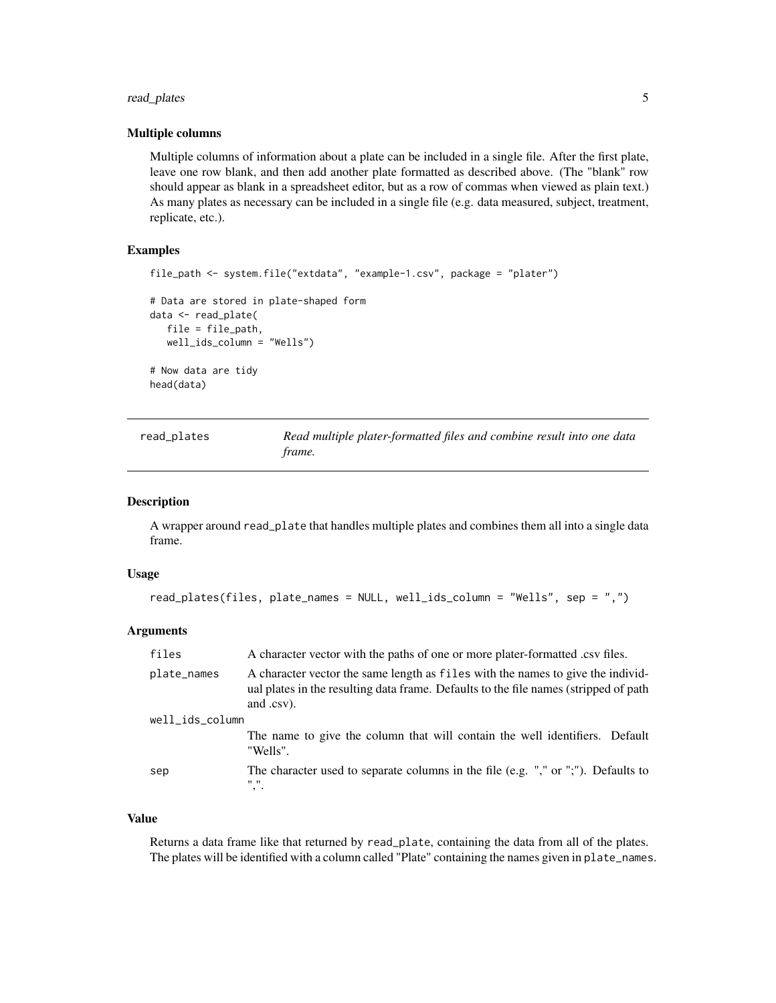### <span id="page-4-0"></span>read\_plates 5

#### Multiple columns

Multiple columns of information about a plate can be included in a single file. After the first plate, leave one row blank, and then add another plate formatted as described above. (The "blank" row should appear as blank in a spreadsheet editor, but as a row of commas when viewed as plain text.) As many plates as necessary can be included in a single file (e.g. data measured, subject, treatment, replicate, etc.).

## Examples

```
file_path <- system.file("extdata", "example-1.csv", package = "plater")
# Data are stored in plate-shaped form
data <- read_plate(
  file = file_path,
  well_ids_column = "Wells")
# Now data are tidy
head(data)
```
<span id="page-4-1"></span>

| read_plates | Read multiple plater-formatted files and combine result into one data |
|-------------|-----------------------------------------------------------------------|
|             | frame.                                                                |

#### Description

A wrapper around read\_plate that handles multiple plates and combines them all into a single data frame.

#### Usage

```
read_plates(files, plate_names = NULL, well_ids_column = "Wells", sep = ",")
```
#### **Arguments**

| files           | A character vector with the paths of one or more plater-formatted .csv files.                                                                                                         |
|-----------------|---------------------------------------------------------------------------------------------------------------------------------------------------------------------------------------|
| plate_names     | A character vector the same length as files with the names to give the individ-<br>ual plates in the resulting data frame. Defaults to the file names (stripped of path<br>and .csv). |
| well_ids_column |                                                                                                                                                                                       |
|                 | The name to give the column that will contain the well identifiers. Default<br>"Wells".                                                                                               |
| sep             | The character used to separate columns in the file (e.g. "," or ";"). Defaults to<br>$\mathbf{H}$ $\mathbf{H}$<br>$, \cdot$                                                           |

#### Value

Returns a data frame like that returned by read\_plate, containing the data from all of the plates. The plates will be identified with a column called "Plate" containing the names given in plate\_names.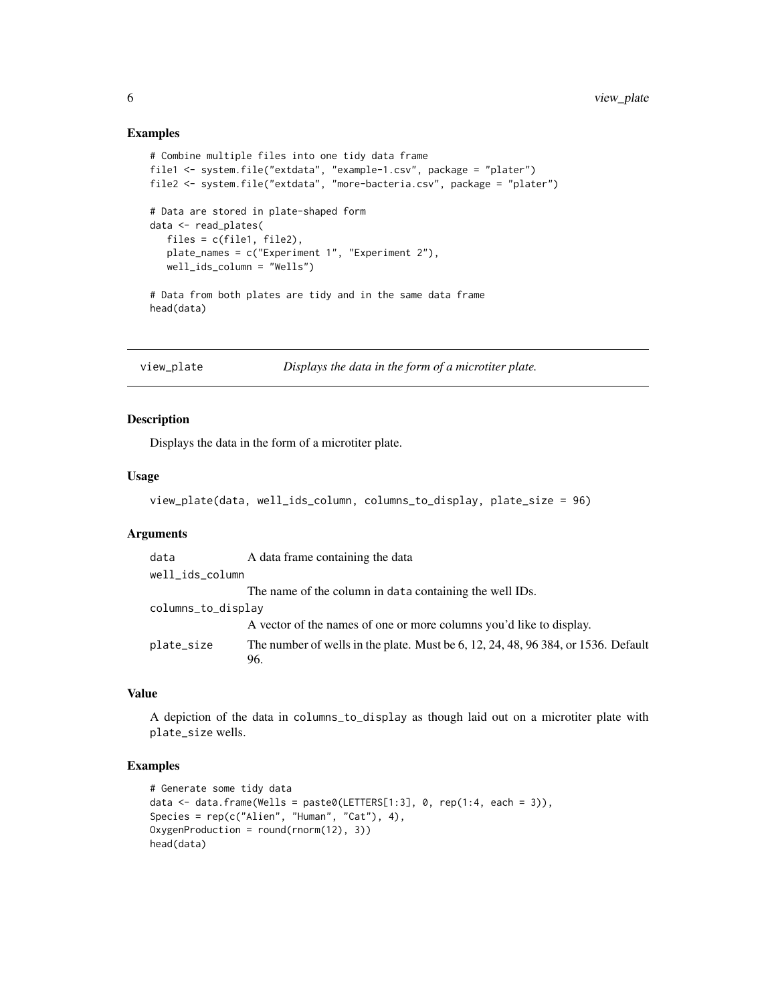#### Examples

```
# Combine multiple files into one tidy data frame
file1 <- system.file("extdata", "example-1.csv", package = "plater")
file2 <- system.file("extdata", "more-bacteria.csv", package = "plater")
# Data are stored in plate-shaped form
data <- read_plates(
  files = c(file1, file2),
   plate_names = c("Experiment 1", "Experiment 2"),
   well_ids_column = "Wells")
# Data from both plates are tidy and in the same data frame
head(data)
```

```
view_plate Displays the data in the form of a microtiter plate.
```
### Description

Displays the data in the form of a microtiter plate.

#### Usage

```
view_plate(data, well_ids_column, columns_to_display, plate_size = 96)
```
#### **Arguments**

| A data frame containing the data                                                         |
|------------------------------------------------------------------------------------------|
| well_ids_column                                                                          |
| The name of the column in data containing the well IDs.                                  |
| columns_to_display                                                                       |
| A vector of the names of one or more columns you'd like to display.                      |
| The number of wells in the plate. Must be 6, 12, 24, 48, 96 384, or 1536. Default<br>96. |
|                                                                                          |

## Value

A depiction of the data in columns\_to\_display as though laid out on a microtiter plate with plate\_size wells.

#### Examples

```
# Generate some tidy data
data \leq data.frame(Wells = paste0(LETTERS[1:3], 0, rep(1:4, each = 3)),
Species = rep(c("Alien", "Human", "Cat"), 4),
OxygenProduction = round(rnorm(12), 3))
head(data)
```
<span id="page-5-0"></span>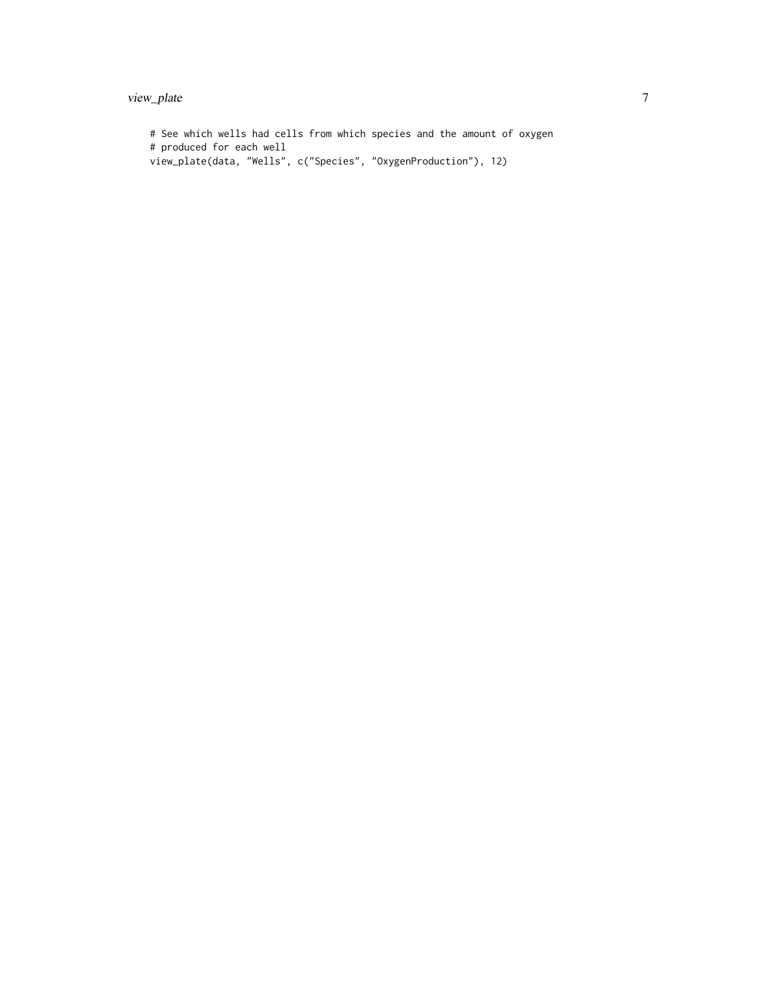## view\_plate 7

# See which wells had cells from which species and the amount of oxygen # produced for each well view\_plate(data, "Wells", c("Species", "OxygenProduction"), 12)